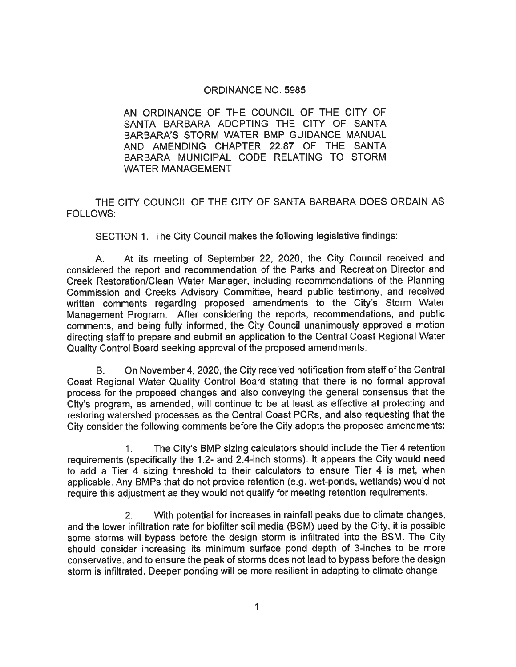#### ORDINANCE NO. 5985

AN ORDINANCE OF THE COUNCIL OF THE C\TY OF SANTA BARBARA ADOPTING THE CITY OF SANTA BARBARA'S STORM WATER BMP GUIDANCE MANUAL AND AMENDING CHAPTER 22.87 OF THE SANTA BARBARA MUNICIPAL CODE RELATING TO STORM WATER MANAGEMENT

THE CITY COUNCIL OF THE CITY OF SANTA BARBARA DOES ORDAIN AS FOLLOWS:

SECTION 1. The City Council makes the following legislative findings:

A. At its meeting of September 22, 2020, the City Council received and considered the report and recommendation of the Parks and Recreation Director and Creek Restoration/Clean Water Manager, including recommendations of the Planning Commission and Creeks Advisory Committee, heard public testimony, and received written comments regarding proposed amendments to the City's Storm Water Management Program. After considering the reports, recommendations, and public comments, and being fully informed, the City Council unanimously approved a motion directing staff to prepare and submit an application to the Central Coast Regional Water Quality Control Board seeking approval of the proposed amendments.

B. On November 4, 2020, the City received notification from staff of the Central Coast Regional Water Quality Control Board stating that there is no formal approval process for the proposed changes and also conveying the general consensus that the City's program, as amended, will continue to be at least as effective at protecting and restoring watershed processes as the Central Coast PCRs, and also requesting that the City consider the following comments before the City adopts the proposed amendments:

1. The City's BMP sizing calculators should include the Tier 4 retention requirements (specifically the 1. 2- and 2.4-inch storms). It appears the City would need to add a Tier 4 sizing threshold to their calculators to ensure Tier 4 is met, when applicable. Any BMPs that do not provide retention (e. g. wet-ponds, wetlands) would not require this adjustment as they would not qualify for meeting retention requirements.

2. With potential for increases in rainfall peaks due to climate changes, and the lower infiltration rate for biofilter soil media (BSM) used by the City, it is possible some storms will bypass before the design storm is infiltrated into the BSM. The City should consider increasing its minimum surface pond depth of 3-inches to be more conservative, and to ensure the peak of storms does not lead to bypass before the design storm is infiltrated. Deeper ponding will be more resilient in adapting to climate change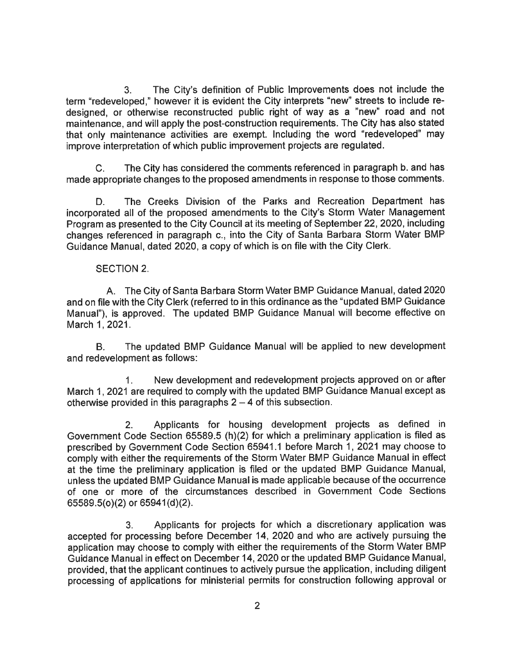3. The City's definition of Public Improvements does not include the term "redeveloped, " however it is evident the City interprets "new" streets to include redesigned, or otherwise reconstructed public right of way as a "new" road and not maintenance, and will apply the post-construction requirements. The City has also stated that only maintenance activities are exempt. Including the word "redeveloped" may improve interpretation of which public improvement projects are regulated.

C. The City has considered the comments referenced in paragraph b. and has made appropriate changes to the proposed amendments in response to those comments.

D. The Creeks Division of the Parks and Recreation Department has incorporated all of the proposed amendments to the City's Storm Water Management Program as presented to the City Council at its meeting of September 22, 2020, including changes referenced in paragraph c., into the City of Santa Barbara Storm Water BMP Guidance Manual, dated 2020, a copy of which is on file with the City Clerk.

SECTION 2.

A. The City of Santa Barbara Storm Water BMP Guidance Manual, dated 2020 and on file with the City Clerk (referred to in this ordinance as the "updated BMP Guidance Manual"), is approved. The updated BMP Guidance Manual will become effective on March 1, 2021.

B. The updated BMP Guidance Manual will be applied to new development and redevelopment as follows:

1. New development and redevelopment projects approved on or after March 1, 2021 are required to comply with the updated BMP Guidance Manual except as otherwise provided in this paragraphs  $2 - 4$  of this subsection.

2. Applicants for housing development projects as defined in Government Code Section 65589.5 (h)(2) for which a preliminary application is filed as prescribed by Government Code Section 65941. 1 before March 1, 2021 may choose to comply with either the requirements of the Storm Water BMP Guidance Manual in effect at the time the preliminary application is filed or the updated BMP Guidance Manual, unless the updated BMP Guidance Manual is made applicable because of the occurrence of one or more of the circumstances described in Government Code Sections 65589. 5(o)(2) or 65941 (d)(2).

3. Applicants for projects for which a discretionary application was accepted for processing before December 14, 2020 and who are actively pursuing the application may choose to comply with either the requirements of the Storm Water BMP Guidance Manual in effect on December 14, 2020 or the updated BMP Guidance Manual, provided, that the applicant continues to actively pursue the application, including diligent processing of applications for ministerial permits for construction following approval or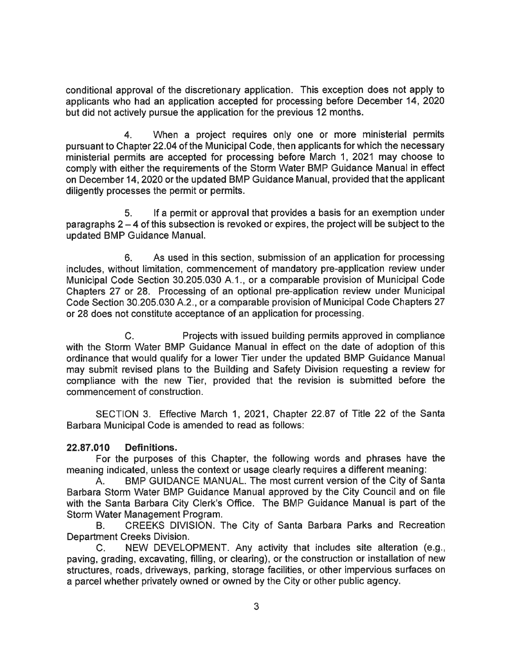conditional approval of the discretionary application. This exception does not apply to applicants who had an application accepted for processing before December 14, 2020 but did not actively pursue the application for the previous 12 months.

4. When a project requires only one or more ministerial permits pursuant to Chapter 22.04 of the Municipal Code, then applicants for which the necessary ministerial permits are accepted for processing before March 1, 2021 may choose to comply with either the requirements of the Storm Water BMP Guidance Manual in effect on December 14, 2020 or the updated BMP Guidance Manual, provided that the applicant diligently processes the permit or permits.

5. If a permit or approval that provides a basis for an exemption under paragraphs  $2-4$  of this subsection is revoked or expires, the project will be subject to the updated BMP Guidance Manual.

6. As used in this section, submission of an application for processing includes, without limitation, commencement of mandatory pre-application review under Municipal Code Section 30. 205. 030 A. 1., or a comparable provision of Municipal Code Chapters 27 or 28. Processing of an optional pre-application review under Municipal Code Section 30.205.030 A.2., or a comparable provision of Municipal Code Chapters 27 or 28 does not constitute acceptance of an application for processing.

C. Projects with issued building permits approved in compliance with the Storm Water BMP Guidance Manual in effect on the date of adoption of this ordinance that would qualify for a lower Tier under the updated BMP Guidance Manual may submit revised plans to the Building and Safety Division requesting a review for compliance with the new Tier, provided that the revision is submitted before the commencement of construction.

SECTION 3. Effective March 1, 2021, Chapter 22. 87 of Title 22 of the Santa Barbara Municipal Code is amended to read as follows:

### 22. 87. 010 Definitions.

For the purposes of this Chapter, the following words and phrases have the meaning indicated, unless the context or usage clearly requires a different meaning:

A. BMP GUIDANCE MANUAL. The most current version of the City of Santa Barbara Storm Water BMP Guidance Manual approved by the City Council and on file with the Santa Barbara City Clerk's Office. The BMP Guidance Manual is part of the Storm Water Management Program.

B. CREEKS DIVISION. The City of Santa Barbara Parks and Recreation Department Creeks Division.

C. NEW DEVELOPMENT. Any activity that includes site alteration (e.g., paving, grading, excavating, filling, or clearing), or the construction or installation of new structures, roads, driveways, parking, storage facilities, or other impervious surfaces on a parcel whether privately owned or owned by the City or other public agency.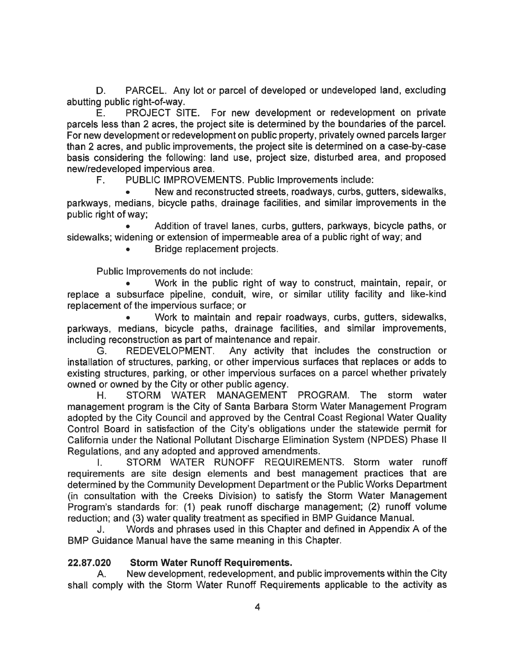D. PARCEL. Any lot or parcel of developed or undeveloped land, excluding abutting public right-of-way.

E. PROJECT SITE. For new development or redevelopment on private parcels less than 2 acres, the project site is determined by the boundaries of the parcel. For new development or redevelopment on public property, privately owned parcels larger than 2 acres, and public improvements, the project site is determined on a case-by-case basis considering the following: land use, project size, disturbed area, and proposed new/redeveloped impervious area.

F. PUBLIC IMPROVEMENTS. Public Improvements include:

. New and reconstructed streets, roadways, curbs, gutters, sidewalks, parkways, medians, bicycle paths, drainage facilities, and similar improvements in the public right of way;

. Addition of travel lanes, curbs, gutters, parkways, bicycle paths, or sidewalks; widening or extension of impermeable area of a public right of way; and

. Bridge replacement projects.

Public Improvements do not include:

. Work in the public right of way to construct, maintain, repair, or replace a subsurface pipeline, conduit, wire, or similar utility facility and like-kind replacement of the impervious surface; or

. Work to maintain and repair roadways, curbs, gutters, sidewalks, parkways, medians, bicycle paths, drainage facilities, and similar improvements, including reconstruction as part of maintenance and repair.

G. REDEVELOPMENT. Any activity that includes the construction or installation of structures, parking, or other impervious surfaces that replaces or adds to existing structures, parking, or other impervious surfaces on a parcel whether privately owned or owned by the City or other public agency.

H. STORM WATER MANAGEMENT PROGRAM. The storm water management program is the City of Santa Barbara Storm Water Management Program adopted by the City Council and approved by the Central Coast Regional Water Quality Control Board in satisfaction of the City's obligations under the statewide permit for California under the National Pollutant Discharge Elimination System (NPDES) Phase II Regulations, and any adopted and approved amendments.

1. STORM WATER RUNOFF REQUIREMENTS. Storm water runoff requirements are site design elements and best management practices that are determined by the Community Development Department or the Public Works Department (in consultation with the Creeks Division) to satisfy the Storm Water Management Program's standards for: (1) peak runoff discharge management; (2) runoff volume reduction; and (3) water quality treatment as specified in BMP Guidance Manual.

J. Words and phrases used in this Chapter and defined in Appendix A of the BMP Guidance Manual have the same meaning in this Chapter.

# 22. 87. 020 Storm Water Runoff Requirements.

A. New development, redevelopment, and public improvements within the City shall comply with the Storm Water Runoff Requirements applicable to the activity as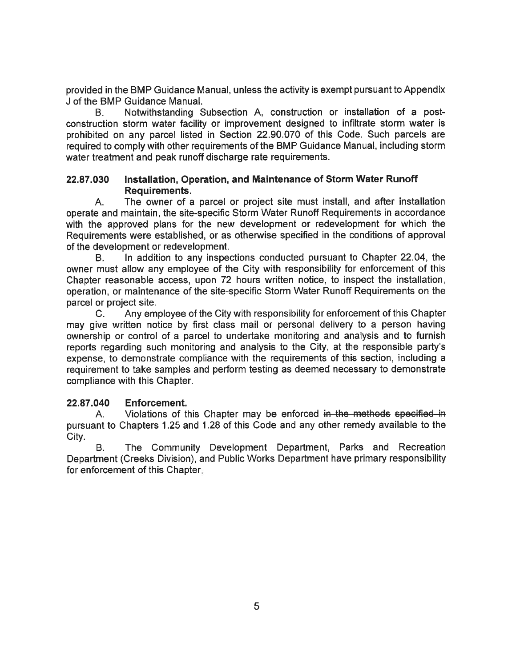provided in the BMP Guidance Manual, unless the activity is exempt pursuant to Appendix J of the BMP Guidance Manual.

B. Notwithstanding Subsection A, construction or installation of a postconstruction storm water facility or improvement designed to infiltrate storm water is prohibited on any parcel listed in Section 22.90.070 of this Code. Such parcels are required to comply with other requirements of the BMP Guidance Manual, including storm water treatment and peak runoff discharge rate requirements.

### 22. 87.030 Installation, Operation, and Maintenance of Storm Water Runoff Requirements.

A. The owner of a parcel or project site must install, and after installation operate and maintain, the site-specific Storm Water Runoff Requirements in accordance with the approved plans for the new development or redevelopment for which the Requirements were established, or as otherwise specified in the conditions of approval of the development or redevelopment.

B. In addition to any inspections conducted pursuant to Chapter 22. 04, the owner must allow any employee of the City with responsibility for enforcement of this Chapter reasonable access, upon 72 hours written notice, to inspect the installation, operation, or maintenance of the site-specific Storm Water Runoff Requirements on the parcel or project site.

C. Any employee of the City with responsibility for enforcement of this Chapter may give written notice by first class mail or personal delivery to a person having ownership or control of a parcel to undertake monitoring and analysis and to furnish reports regarding such monitoring and analysis to the City, at the responsible party's expense, to demonstrate compliance with the requirements of this section, including a requirement to take samples and perform testing as deemed necessary to demonstrate compliance with this Chapter.

# 22.87.040 Enforcement.

A. Violations of this Chapter may be enforced in the methods specified in pursuant to Chapters 1.25 and 1.28 of this Code and any other remedy available to the City.

B. The Community Development Department, Parks and Recreation Department (Creeks Division), and Public Works Department have primary responsibility for enforcement of this Chapter